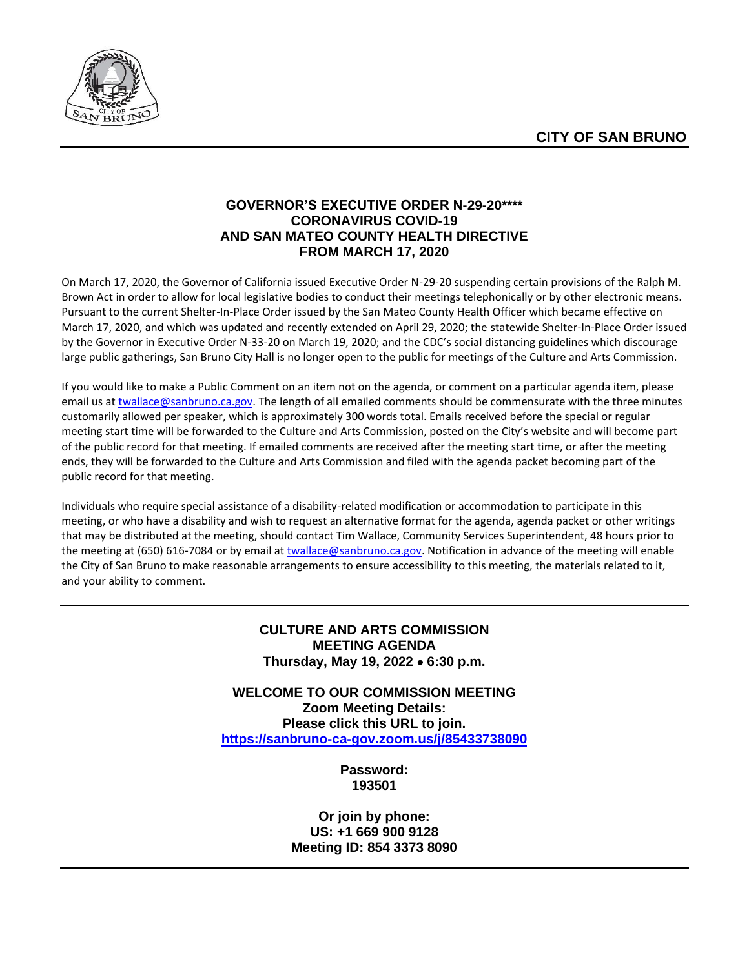

# **GOVERNOR'S EXECUTIVE ORDER N-29-20\*\*\*\* CORONAVIRUS COVID-19 AND SAN MATEO COUNTY HEALTH DIRECTIVE FROM MARCH 17, 2020**

On March 17, 2020, the Governor of California issued Executive Order N-29-20 suspending certain provisions of the Ralph M. Brown Act in order to allow for local legislative bodies to conduct their meetings telephonically or by other electronic means. Pursuant to the current Shelter-In-Place Order issued by the San Mateo County Health Officer which became effective on March 17, 2020, and which was updated and recently extended on April 29, 2020; the statewide Shelter-In-Place Order issued by the Governor in Executive Order N-33-20 on March 19, 2020; and the CDC's social distancing guidelines which discourage large public gatherings, San Bruno City Hall is no longer open to the public for meetings of the Culture and Arts Commission.

If you would like to make a Public Comment on an item not on the agenda, or comment on a particular agenda item, please email us at [twallace@sanbruno.ca.gov.](file://///skyline/public/Bulletin%20Board/Culture%20and%20Arts%20Commission/2020%20Minutes%20&%20Agendas/08-August/twallace@sanbruno.ca.gov) The length of all emailed comments should be commensurate with the three minutes customarily allowed per speaker, which is approximately 300 words total. Emails received before the special or regular meeting start time will be forwarded to the Culture and Arts Commission, posted on the City's website and will become part of the public record for that meeting. If emailed comments are received after the meeting start time, or after the meeting ends, they will be forwarded to the Culture and Arts Commission and filed with the agenda packet becoming part of the public record for that meeting.

Individuals who require special assistance of a disability-related modification or accommodation to participate in this meeting, or who have a disability and wish to request an alternative format for the agenda, agenda packet or other writings that may be distributed at the meeting, should contact Tim Wallace, Community Services Superintendent, 48 hours prior to the meeting at (650) 616-7084 or by email at [twallace@sanbruno.ca.gov.](file://///skyline/public/Bulletin%20Board/Culture%20and%20Arts%20Commission/2020%20Minutes%20&%20Agendas/08-August/twallace@sanbruno.ca.gov) Notification in advance of the meeting will enable the City of San Bruno to make reasonable arrangements to ensure accessibility to this meeting, the materials related to it, and your ability to comment.

## **CULTURE AND ARTS COMMISSION MEETING AGENDA Thursday, May 19, 2022** • **6:30 p.m.**

**WELCOME TO OUR COMMISSION MEETING Zoom Meeting Details: Please click this URL to join. <https://sanbruno-ca-gov.zoom.us/j/85433738090>**

> **Password: 193501**

**Or join by phone: US: +1 669 900 9128 Meeting ID: 854 3373 8090**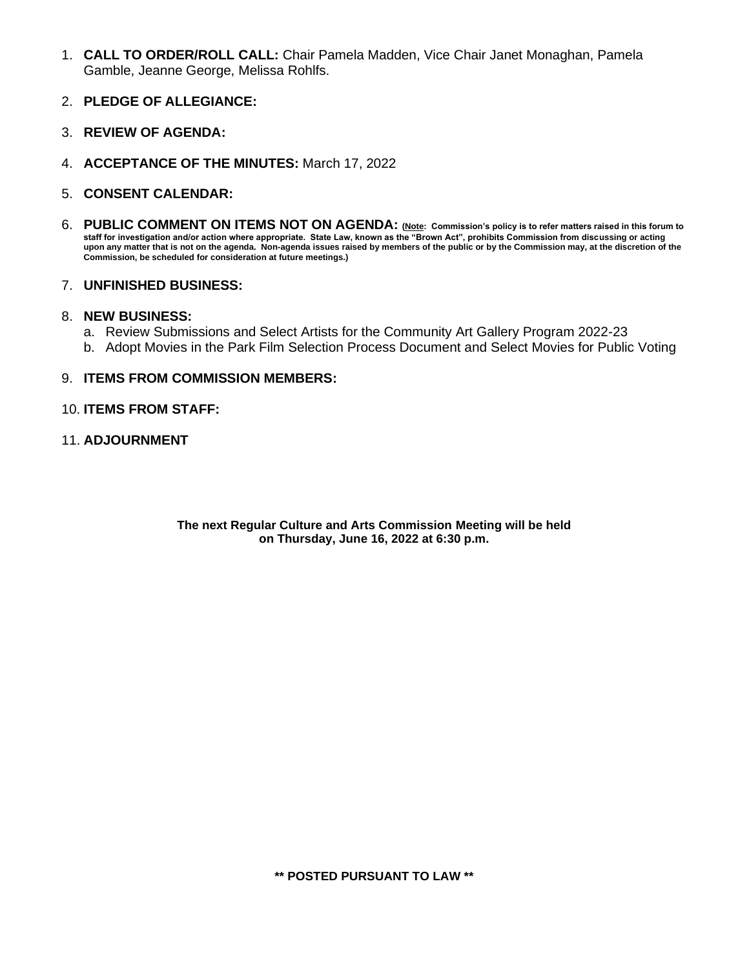- 1. **CALL TO ORDER/ROLL CALL:** Chair Pamela Madden, Vice Chair Janet Monaghan, Pamela Gamble, Jeanne George, Melissa Rohlfs.
- 2. **PLEDGE OF ALLEGIANCE:**
- 3. **REVIEW OF AGENDA:**
- 4. **ACCEPTANCE OF THE MINUTES:** March 17, 2022
- 5. **CONSENT CALENDAR:**
- 6. **PUBLIC COMMENT ON ITEMS NOT ON AGENDA: (Note: Commission's policy is to refer matters raised in this forum to staff for investigation and/or action where appropriate. State Law, known as the "Brown Act", prohibits Commission from discussing or acting upon any matter that is not on the agenda. Non-agenda issues raised by members of the public or by the Commission may, at the discretion of the Commission, be scheduled for consideration at future meetings.)**

#### 7. **UNFINISHED BUSINESS:**

#### 8. **NEW BUSINESS:**

- a. Review Submissions and Select Artists for the Community Art Gallery Program 2022-23
- b. Adopt Movies in the Park Film Selection Process Document and Select Movies for Public Voting

#### 9. **ITEMS FROM COMMISSION MEMBERS:**

#### 10. **ITEMS FROM STAFF:**

11. **ADJOURNMENT**

**The next Regular Culture and Arts Commission Meeting will be held on Thursday, June 16, 2022 at 6:30 p.m.**

**\*\* POSTED PURSUANT TO LAW \*\***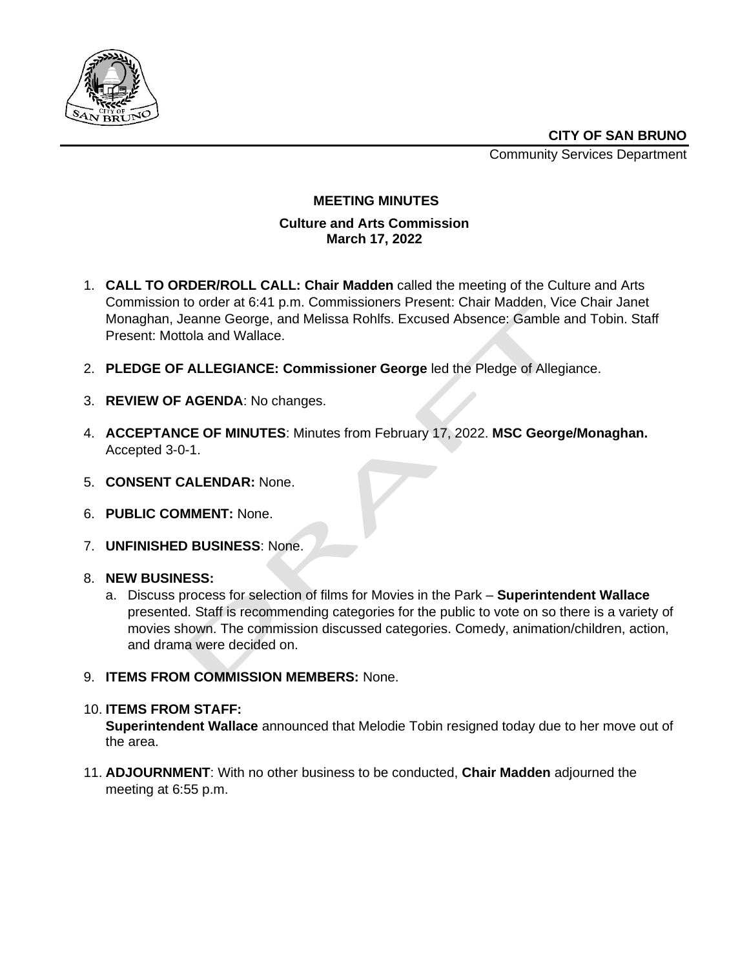

Community Services Department



# **MEETING MINUTES**

# **Culture and Arts Commission March 17, 2022**

- 1. **CALL TO ORDER/ROLL CALL: Chair Madden** called the meeting of the Culture and Arts Commission to order at 6:41 p.m. Commissioners Present: Chair Madden, Vice Chair Janet Monaghan, Jeanne George, and Melissa Rohlfs. Excused Absence: Gamble and Tobin. Staff Present: Mottola and Wallace.
- 2. **PLEDGE OF ALLEGIANCE: Commissioner George** led the Pledge of Allegiance.
- 3. **REVIEW OF AGENDA**: No changes.
- 4. **ACCEPTANCE OF MINUTES**: Minutes from February 17, 2022. **MSC George/Monaghan.**  Accepted 3-0-1.
- 5. **CONSENT CALENDAR:** None.
- 6. **PUBLIC COMMENT:** None.
- 7. **UNFINISHED BUSINESS**: None.
- 8. **NEW BUSINESS:**
	- a. Discuss process for selection of films for Movies in the Park **Superintendent Wallace** presented. Staff is recommending categories for the public to vote on so there is a variety of movies shown. The commission discussed categories. Comedy, animation/children, action, and drama were decided on.
- 9. **ITEMS FROM COMMISSION MEMBERS:** None.
- 10. **ITEMS FROM STAFF:**

**Superintendent Wallace** announced that Melodie Tobin resigned today due to her move out of the area.

11. **ADJOURNMENT**: With no other business to be conducted, **Chair Madden** adjourned the meeting at 6:55 p.m.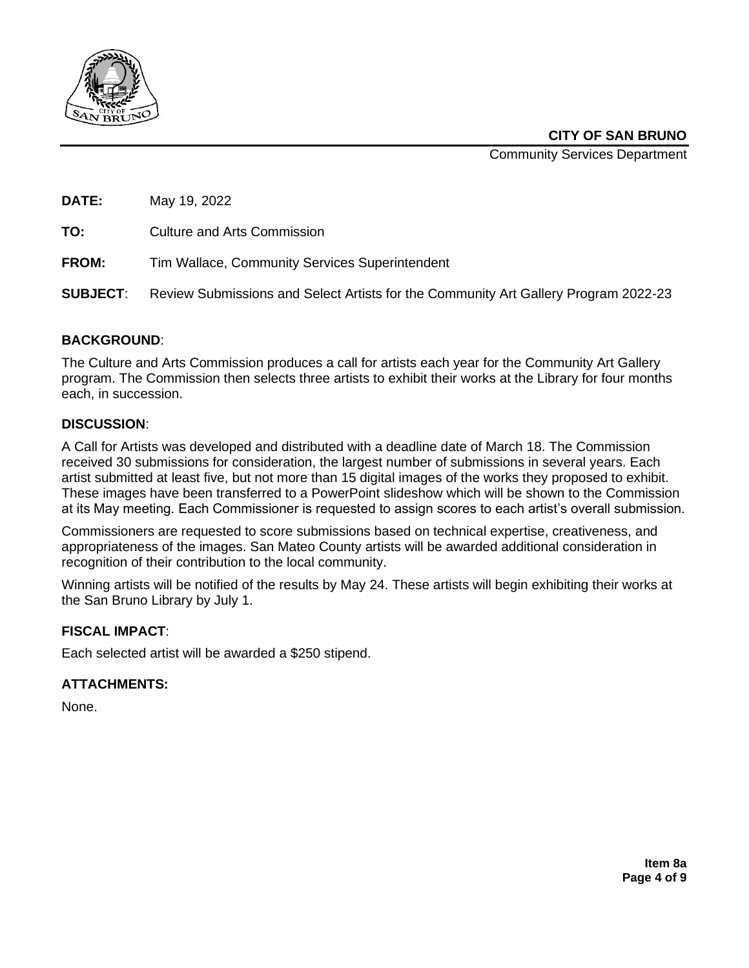

Community Services Department

| DATE:           | May 19, 2022                                                                        |
|-----------------|-------------------------------------------------------------------------------------|
| TO:             | <b>Culture and Arts Commission</b>                                                  |
| <b>FROM:</b>    | Tim Wallace, Community Services Superintendent                                      |
| <b>SUBJECT:</b> | Review Submissions and Select Artists for the Community Art Gallery Program 2022-23 |
|                 |                                                                                     |

## **BACKGROUND**:

The Culture and Arts Commission produces a call for artists each year for the Community Art Gallery program. The Commission then selects three artists to exhibit their works at the Library for four months each, in succession.

## **DISCUSSION**:

A Call for Artists was developed and distributed with a deadline date of March 18. The Commission received 30 submissions for consideration, the largest number of submissions in several years. Each artist submitted at least five, but not more than 15 digital images of the works they proposed to exhibit. These images have been transferred to a PowerPoint slideshow which will be shown to the Commission at its May meeting. Each Commissioner is requested to assign scores to each artist's overall submission.

Commissioners are requested to score submissions based on technical expertise, creativeness, and appropriateness of the images. San Mateo County artists will be awarded additional consideration in recognition of their contribution to the local community.

Winning artists will be notified of the results by May 24. These artists will begin exhibiting their works at the San Bruno Library by July 1.

#### **FISCAL IMPACT**:

Each selected artist will be awarded a \$250 stipend.

#### **ATTACHMENTS:**

None.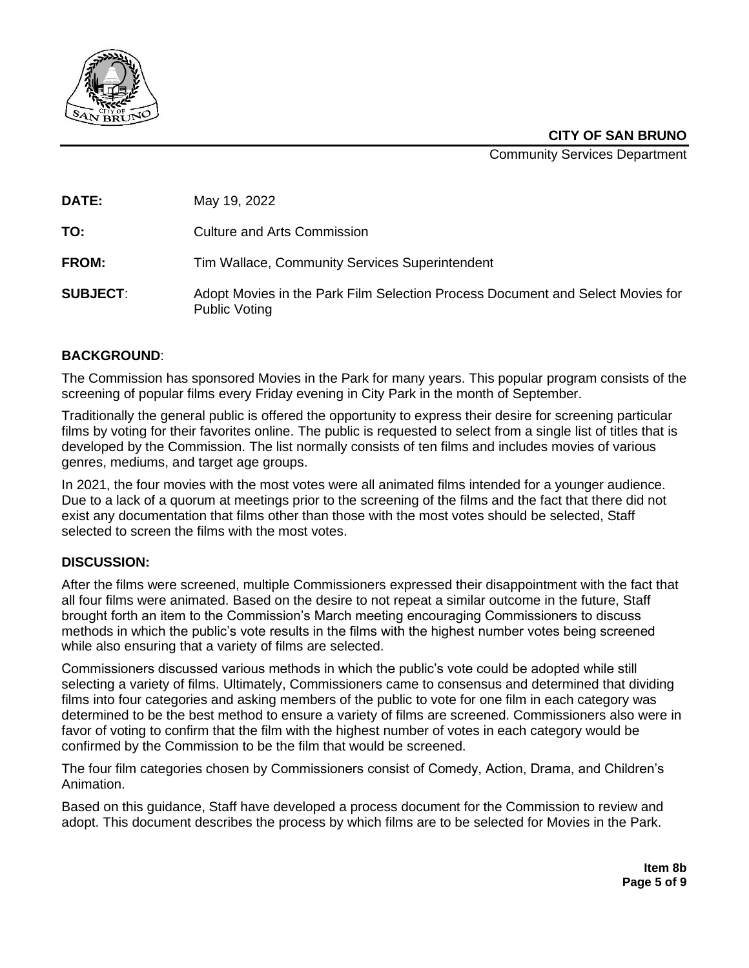

Community Services Department

**DATE:** May 19, 2022

**TO:** Culture and Arts Commission

**FROM:** Tim Wallace, Community Services Superintendent

**SUBJECT**: Adopt Movies in the Park Film Selection Process Document and Select Movies for Public Voting

# **BACKGROUND**:

The Commission has sponsored Movies in the Park for many years. This popular program consists of the screening of popular films every Friday evening in City Park in the month of September.

Traditionally the general public is offered the opportunity to express their desire for screening particular films by voting for their favorites online. The public is requested to select from a single list of titles that is developed by the Commission. The list normally consists of ten films and includes movies of various genres, mediums, and target age groups.

In 2021, the four movies with the most votes were all animated films intended for a younger audience. Due to a lack of a quorum at meetings prior to the screening of the films and the fact that there did not exist any documentation that films other than those with the most votes should be selected, Staff selected to screen the films with the most votes.

# **DISCUSSION:**

After the films were screened, multiple Commissioners expressed their disappointment with the fact that all four films were animated. Based on the desire to not repeat a similar outcome in the future, Staff brought forth an item to the Commission's March meeting encouraging Commissioners to discuss methods in which the public's vote results in the films with the highest number votes being screened while also ensuring that a variety of films are selected.

Commissioners discussed various methods in which the public's vote could be adopted while still selecting a variety of films. Ultimately, Commissioners came to consensus and determined that dividing films into four categories and asking members of the public to vote for one film in each category was determined to be the best method to ensure a variety of films are screened. Commissioners also were in favor of voting to confirm that the film with the highest number of votes in each category would be confirmed by the Commission to be the film that would be screened.

The four film categories chosen by Commissioners consist of Comedy, Action, Drama, and Children's Animation.

Based on this guidance, Staff have developed a process document for the Commission to review and adopt. This document describes the process by which films are to be selected for Movies in the Park.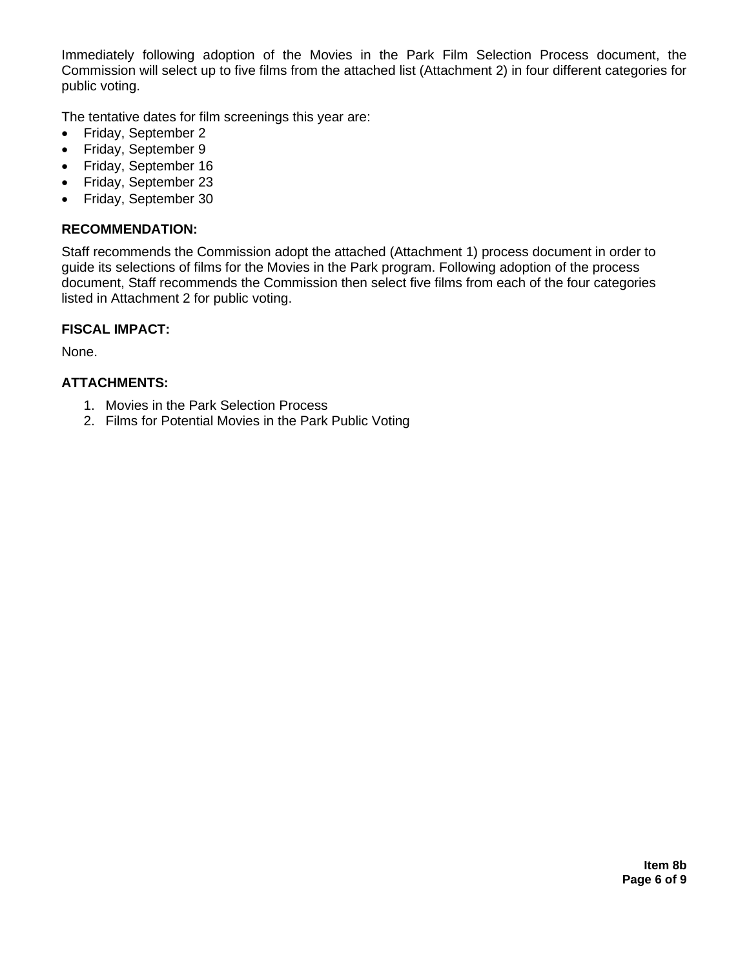Immediately following adoption of the Movies in the Park Film Selection Process document, the Commission will select up to five films from the attached list (Attachment 2) in four different categories for public voting.

The tentative dates for film screenings this year are:

- Friday, September 2
- Friday, September 9
- Friday, September 16
- Friday, September 23
- Friday, September 30

# **RECOMMENDATION:**

Staff recommends the Commission adopt the attached (Attachment 1) process document in order to guide its selections of films for the Movies in the Park program. Following adoption of the process document, Staff recommends the Commission then select five films from each of the four categories listed in Attachment 2 for public voting.

## **FISCAL IMPACT:**

None.

# **ATTACHMENTS:**

- 1. Movies in the Park Selection Process
- 2. Films for Potential Movies in the Park Public Voting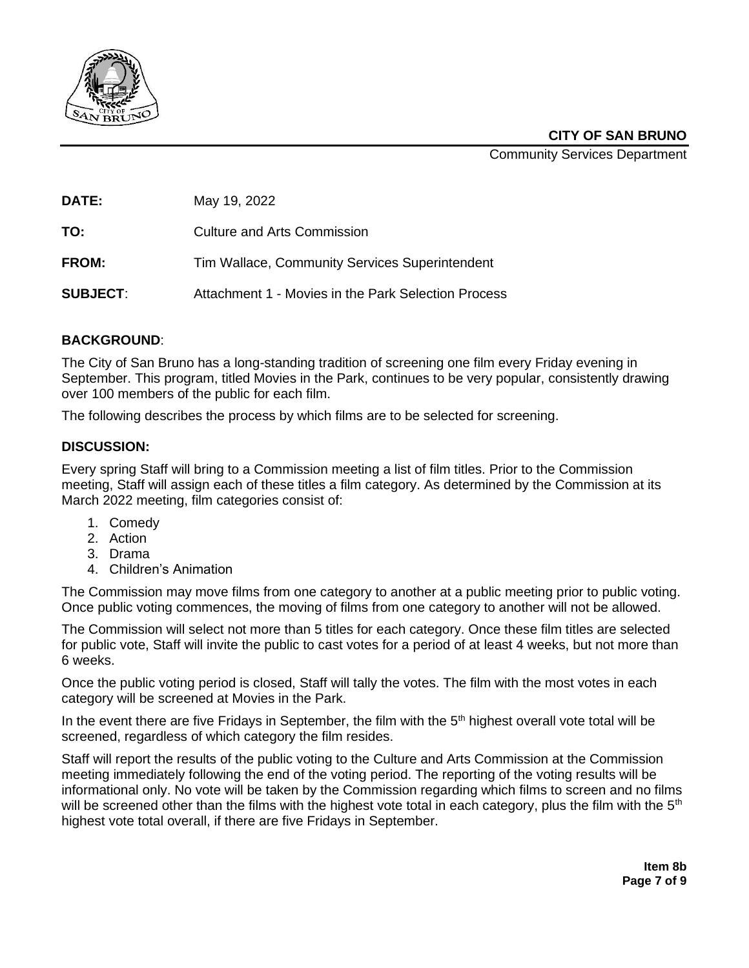

Community Services Department

**DATE:** May 19, 2022

**TO:** Culture and Arts Commission

**FROM:** Tim Wallace, Community Services Superintendent

**SUBJECT**: Attachment 1 - Movies in the Park Selection Process

# **BACKGROUND**:

The City of San Bruno has a long-standing tradition of screening one film every Friday evening in September. This program, titled Movies in the Park, continues to be very popular, consistently drawing over 100 members of the public for each film.

The following describes the process by which films are to be selected for screening.

# **DISCUSSION:**

Every spring Staff will bring to a Commission meeting a list of film titles. Prior to the Commission meeting, Staff will assign each of these titles a film category. As determined by the Commission at its March 2022 meeting, film categories consist of:

- 1. Comedy
- 2. Action
- 3. Drama
- 4. Children's Animation

The Commission may move films from one category to another at a public meeting prior to public voting. Once public voting commences, the moving of films from one category to another will not be allowed.

The Commission will select not more than 5 titles for each category. Once these film titles are selected for public vote, Staff will invite the public to cast votes for a period of at least 4 weeks, but not more than 6 weeks.

Once the public voting period is closed, Staff will tally the votes. The film with the most votes in each category will be screened at Movies in the Park.

In the event there are five Fridays in September, the film with the 5<sup>th</sup> highest overall vote total will be screened, regardless of which category the film resides.

Staff will report the results of the public voting to the Culture and Arts Commission at the Commission meeting immediately following the end of the voting period. The reporting of the voting results will be informational only. No vote will be taken by the Commission regarding which films to screen and no films will be screened other than the films with the highest vote total in each category, plus the film with the 5<sup>th</sup> highest vote total overall, if there are five Fridays in September.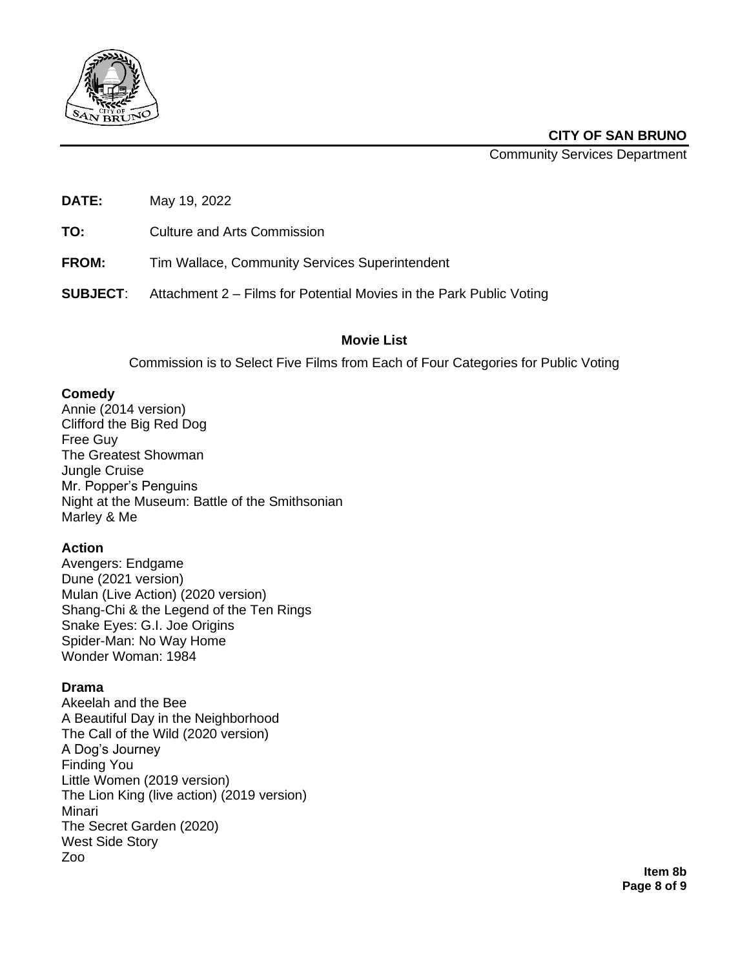

Community Services Department

**DATE:** May 19, 2022

**TO:** Culture and Arts Commission

**FROM:** Tim Wallace, Community Services Superintendent

**SUBJECT**: Attachment 2 – Films for Potential Movies in the Park Public Voting

# **Movie List**

Commission is to Select Five Films from Each of Four Categories for Public Voting

## **Comedy**

Annie (2014 version) Clifford the Big Red Dog Free Guy The Greatest Showman Jungle Cruise Mr. Popper's Penguins Night at the Museum: Battle of the Smithsonian Marley & Me

# **Action**

Avengers: Endgame Dune (2021 version) Mulan (Live Action) (2020 version) Shang-Chi & the Legend of the Ten Rings Snake Eyes: G.I. Joe Origins Spider-Man: No Way Home Wonder Woman: 1984

# **Drama**

Akeelah and the Bee A Beautiful Day in the Neighborhood The Call of the Wild (2020 version) A Dog's Journey Finding You Little Women (2019 version) The Lion King (live action) (2019 version) Minari The Secret Garden (2020) West Side Story Zoo